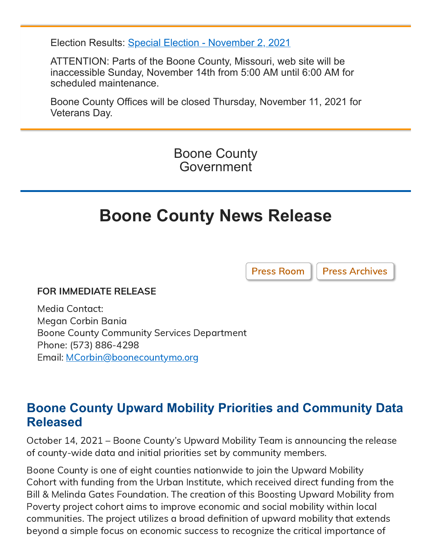Election Results: [Special Election - November 2, 2021](https://showmeboone.com/clerk/elections/results/20211102SSP.pdf)

ATTENTION: Parts of the Boone County, Missouri, web site will be inaccessible Sunday, November 14th from 5:00 AM until 6:00 AM for scheduled maintenance.

Boone County Offices will be closed Thursday, November 11, 2021 for Veterans Day.

> Boone County Government

# **Boone County News Release**

[Press Room](https://www.showmeboone.com/commission/press-room.asp) | [Press Archives](https://www.showmeboone.com/commission/press-archives.asp)

#### FOR IMMEDIATE RELEASE

Media Contact: Megan Corbin Bania Boone County Community Services Department Phone: (573) 886-4298 Email: [MCorbin@boonecountymo.org](mailto:MCorbin@boonecountymo.org)

# **Boone County Upward Mobility Priorities and Community Data Released**

October 14, 2021 – Boone County's Upward Mobility Team is announcing the release of county-wide data and initial priorities set by community members.

Boone County is one of eight counties nationwide to join the Upward Mobility Cohort with funding from the Urban Institute, which received direct funding from the Bill & Melinda Gates Foundation. The creation of this Boosting Upward Mobility from Poverty project cohort aims to improve economic and social mobility within local communities. The project utilizes a broad definition of upward mobility that extends beyond a simple focus on economic success to recognize the critical importance of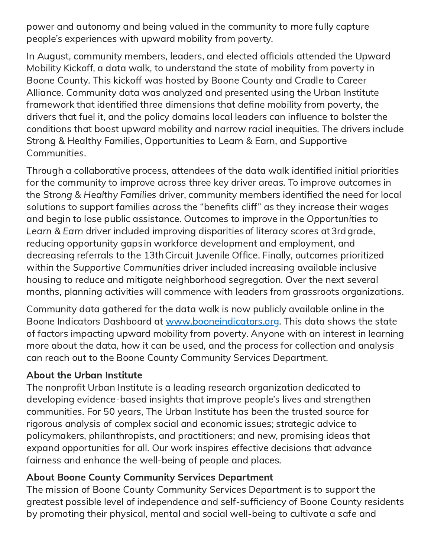power and autonomy and being valued in the community to more fully capture people's experiences with upward mobility from poverty.

In August, community members, leaders, and elected officials attended the Upward Mobility Kickoff, a data walk, to understand the state of mobility from poverty in Boone County. This kickoff was hosted by Boone County and Cradle to Career Alliance. Community data was analyzed and presented using the Urban Institute framework that identified three dimensions that define mobility from poverty, the drivers that fuel it, and the policy domains local leaders can influence to bolster the conditions that boost upward mobility and narrow racial inequities. The drivers include Strong & Healthy Families, Opportunities to Learn & Earn, and Supportive Communities.

Through a collaborative process, attendees of the data walk identified initial priorities for the community to improve across three key driver areas. To improve outcomes in the Strong & Healthy Families driver, community members identified the need for local solutions to support families across the "benefits cliff" as they increase their wages and begin to lose public assistance. Outcomes to improve in the Opportunities to Learn & Earn driver included improving disparities of literacy scores at 3rd grade, reducing opportunity gaps in workforce development and employment, and decreasing referrals to the 13thCircuit Juvenile Office. Finally, outcomes prioritized within the Supportive Communities driver included increasing available inclusive housing to reduce and mitigate neighborhood segregation. Over the next several months, planning activities will commence with leaders from grassroots organizations.

Community data gathered for the data walk is now publicly available online in the Boone Indicators Dashboard at [www.booneindicators.org.](http://www.booneindicators.org/) This data shows the state of factors impacting upward mobility from poverty. Anyone with an interest in learning more about the data, how it can be used, and the process for collection and analysis can reach out to the Boone County Community Services Department.

#### About the Urban Institute

The nonprofit Urban Institute is a leading research organization dedicated to developing evidence-based insights that improve people's lives and strengthen communities. For 50 years, The Urban Institute has been the trusted source for rigorous analysis of complex social and economic issues; strategic advice to policymakers, philanthropists, and practitioners; and new, promising ideas that expand opportunities for all. Our work inspires effective decisions that advance fairness and enhance the well-being of people and places.

## About Boone County Community Services Department

The mission of Boone County Community Services Department is to support the greatest possible level of independence and self-sufficiency of Boone County residents by promoting their physical, mental and social well-being to cultivate a safe and